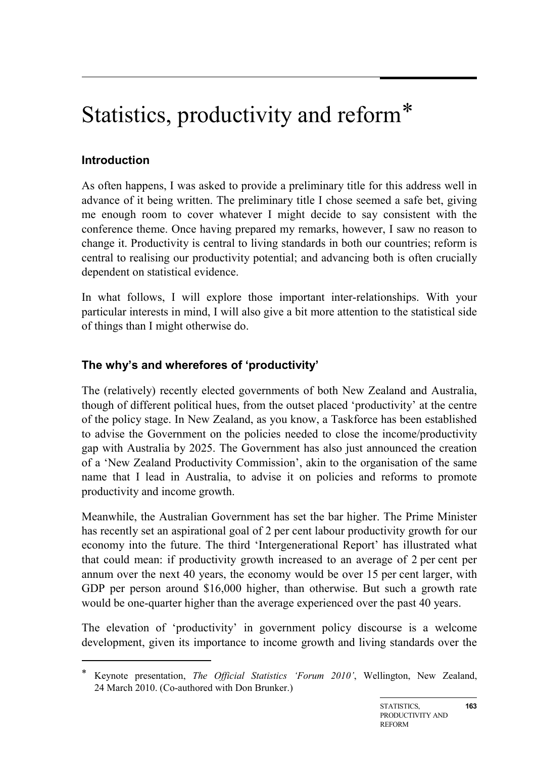# Statistics, productivity and reform[\\*](#page-0-0)

# **Introduction**

-

As often happens, I was asked to provide a preliminary title for this address well in advance of it being written. The preliminary title I chose seemed a safe bet, giving me enough room to cover whatever I might decide to say consistent with the conference theme. Once having prepared my remarks, however, I saw no reason to change it. Productivity is central to living standards in both our countries; reform is central to realising our productivity potential; and advancing both is often crucially dependent on statistical evidence.

In what follows, I will explore those important inter-relationships. With your particular interests in mind, I will also give a bit more attention to the statistical side of things than I might otherwise do.

# **The why's and wherefores of 'productivity'**

The (relatively) recently elected governments of both New Zealand and Australia, though of different political hues, from the outset placed 'productivity' at the centre of the policy stage. In New Zealand, as you know, a Taskforce has been established to advise the Government on the policies needed to close the income/productivity gap with Australia by 2025. The Government has also just announced the creation of a 'New Zealand Productivity Commission', akin to the organisation of the same name that I lead in Australia, to advise it on policies and reforms to promote productivity and income growth.

Meanwhile, the Australian Government has set the bar higher. The Prime Minister has recently set an aspirational goal of 2 per cent labour productivity growth for our economy into the future. The third 'Intergenerational Report' has illustrated what that could mean: if productivity growth increased to an average of 2 per cent per annum over the next 40 years, the economy would be over 15 per cent larger, with GDP per person around \$16,000 higher, than otherwise. But such a growth rate would be one-quarter higher than the average experienced over the past 40 years.

The elevation of 'productivity' in government policy discourse is a welcome development, given its importance to income growth and living standards over the

<span id="page-0-0"></span><sup>\*</sup> Keynote presentation, *The Official Statistics 'Forum 2010'*, Wellington, New Zealand, 24 March 2010. (Co-authored with Don Brunker.)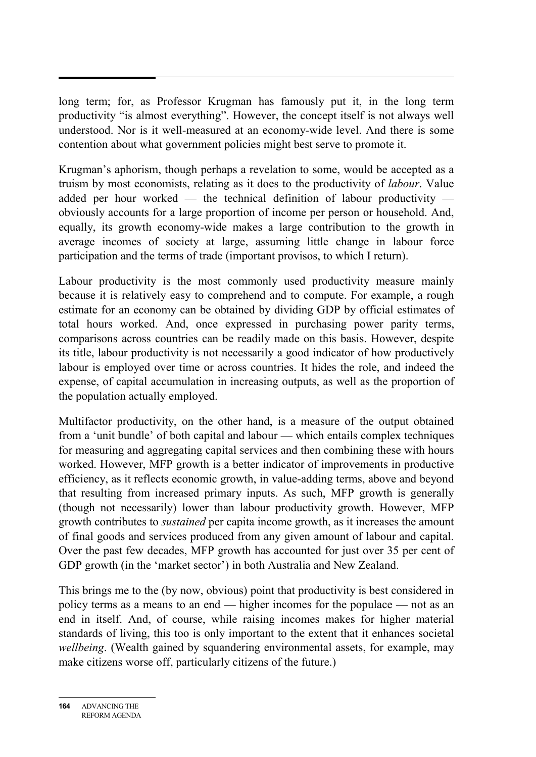long term; for, as Professor Krugman has famously put it, in the long term productivity "is almost everything". However, the concept itself is not always well understood. Nor is it well-measured at an economy-wide level. And there is some contention about what government policies might best serve to promote it.

Krugman's aphorism, though perhaps a revelation to some, would be accepted as a truism by most economists, relating as it does to the productivity of *labour*. Value added per hour worked — the technical definition of labour productivity obviously accounts for a large proportion of income per person or household. And, equally, its growth economy-wide makes a large contribution to the growth in average incomes of society at large, assuming little change in labour force participation and the terms of trade (important provisos, to which I return).

Labour productivity is the most commonly used productivity measure mainly because it is relatively easy to comprehend and to compute. For example, a rough estimate for an economy can be obtained by dividing GDP by official estimates of total hours worked. And, once expressed in purchasing power parity terms, comparisons across countries can be readily made on this basis. However, despite its title, labour productivity is not necessarily a good indicator of how productively labour is employed over time or across countries. It hides the role, and indeed the expense, of capital accumulation in increasing outputs, as well as the proportion of the population actually employed.

Multifactor productivity, on the other hand, is a measure of the output obtained from a 'unit bundle' of both capital and labour — which entails complex techniques for measuring and aggregating capital services and then combining these with hours worked. However, MFP growth is a better indicator of improvements in productive efficiency, as it reflects economic growth, in value-adding terms, above and beyond that resulting from increased primary inputs. As such, MFP growth is generally (though not necessarily) lower than labour productivity growth. However, MFP growth contributes to *sustained* per capita income growth, as it increases the amount of final goods and services produced from any given amount of labour and capital. Over the past few decades, MFP growth has accounted for just over 35 per cent of GDP growth (in the 'market sector') in both Australia and New Zealand.

This brings me to the (by now, obvious) point that productivity is best considered in policy terms as a means to an end — higher incomes for the populace — not as an end in itself. And, of course, while raising incomes makes for higher material standards of living, this too is only important to the extent that it enhances societal *wellbeing*. (Wealth gained by squandering environmental assets, for example, may make citizens worse off, particularly citizens of the future.)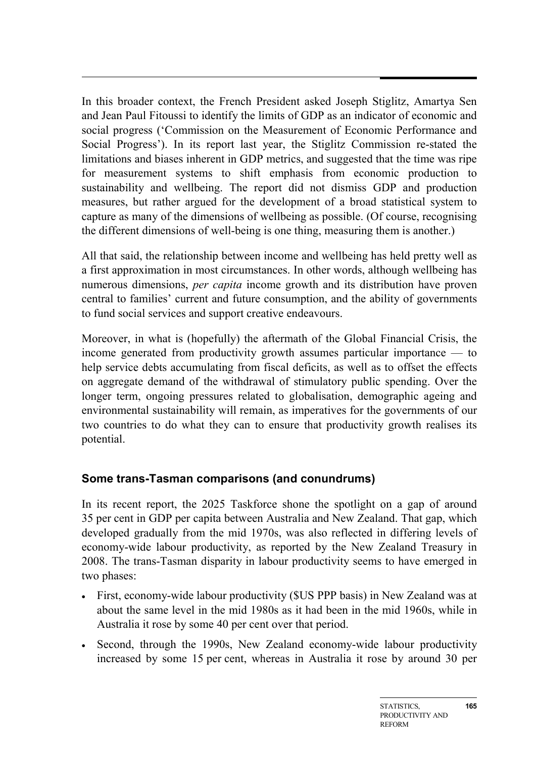In this broader context, the French President asked Joseph Stiglitz, Amartya Sen and Jean Paul Fitoussi to identify the limits of GDP as an indicator of economic and social progress ('Commission on the Measurement of Economic Performance and Social Progress'). In its report last year, the Stiglitz Commission re-stated the limitations and biases inherent in GDP metrics, and suggested that the time was ripe for measurement systems to shift emphasis from economic production to sustainability and wellbeing. The report did not dismiss GDP and production measures, but rather argued for the development of a broad statistical system to capture as many of the dimensions of wellbeing as possible. (Of course, recognising the different dimensions of well-being is one thing, measuring them is another.)

All that said, the relationship between income and wellbeing has held pretty well as a first approximation in most circumstances. In other words, although wellbeing has numerous dimensions, *per capita* income growth and its distribution have proven central to families' current and future consumption, and the ability of governments to fund social services and support creative endeavours.

Moreover, in what is (hopefully) the aftermath of the Global Financial Crisis, the income generated from productivity growth assumes particular importance — to help service debts accumulating from fiscal deficits, as well as to offset the effects on aggregate demand of the withdrawal of stimulatory public spending. Over the longer term, ongoing pressures related to globalisation, demographic ageing and environmental sustainability will remain, as imperatives for the governments of our two countries to do what they can to ensure that productivity growth realises its potential.

## **Some trans-Tasman comparisons (and conundrums)**

In its recent report, the 2025 Taskforce shone the spotlight on a gap of around 35 per cent in GDP per capita between Australia and New Zealand. That gap, which developed gradually from the mid 1970s, was also reflected in differing levels of economy-wide labour productivity, as reported by the New Zealand Treasury in 2008. The trans-Tasman disparity in labour productivity seems to have emerged in two phases:

- First, economy-wide labour productivity (\$US PPP basis) in New Zealand was at about the same level in the mid 1980s as it had been in the mid 1960s, while in Australia it rose by some 40 per cent over that period.
- Second, through the 1990s, New Zealand economy-wide labour productivity increased by some 15 per cent, whereas in Australia it rose by around 30 per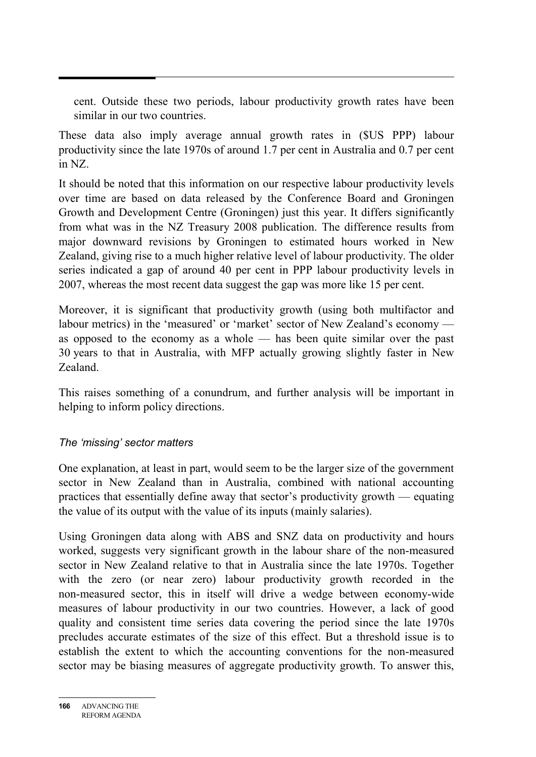cent. Outside these two periods, labour productivity growth rates have been similar in our two countries.

These data also imply average annual growth rates in (\$US PPP) labour productivity since the late 1970s of around 1.7 per cent in Australia and 0.7 per cent in NZ.

It should be noted that this information on our respective labour productivity levels over time are based on data released by the Conference Board and Groningen Growth and Development Centre (Groningen) just this year. It differs significantly from what was in the NZ Treasury 2008 publication. The difference results from major downward revisions by Groningen to estimated hours worked in New Zealand, giving rise to a much higher relative level of labour productivity. The older series indicated a gap of around 40 per cent in PPP labour productivity levels in 2007, whereas the most recent data suggest the gap was more like 15 per cent.

Moreover, it is significant that productivity growth (using both multifactor and labour metrics) in the 'measured' or 'market' sector of New Zealand's economy as opposed to the economy as a whole — has been quite similar over the past 30 years to that in Australia, with MFP actually growing slightly faster in New Zealand.

This raises something of a conundrum, and further analysis will be important in helping to inform policy directions.

#### *The 'missing' sector matters*

One explanation, at least in part, would seem to be the larger size of the government sector in New Zealand than in Australia, combined with national accounting practices that essentially define away that sector's productivity growth — equating the value of its output with the value of its inputs (mainly salaries).

Using Groningen data along with ABS and SNZ data on productivity and hours worked, suggests very significant growth in the labour share of the non-measured sector in New Zealand relative to that in Australia since the late 1970s. Together with the zero (or near zero) labour productivity growth recorded in the non-measured sector, this in itself will drive a wedge between economy-wide measures of labour productivity in our two countries. However, a lack of good quality and consistent time series data covering the period since the late 1970s precludes accurate estimates of the size of this effect. But a threshold issue is to establish the extent to which the accounting conventions for the non-measured sector may be biasing measures of aggregate productivity growth. To answer this,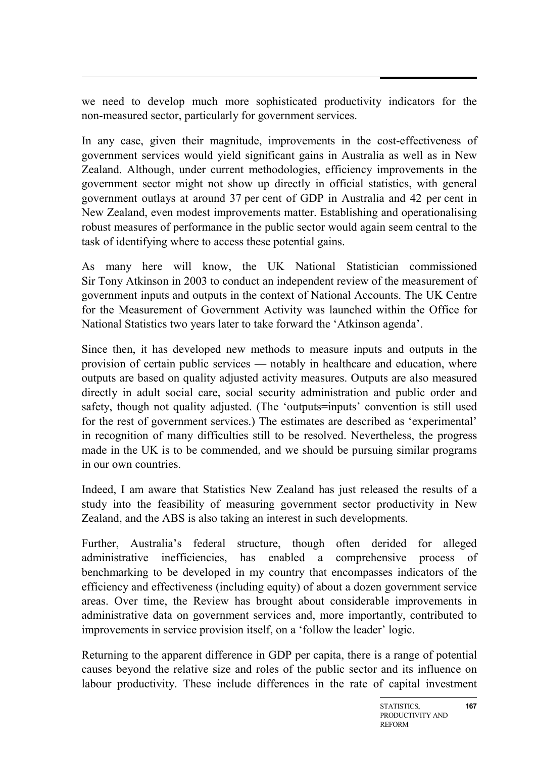we need to develop much more sophisticated productivity indicators for the non-measured sector, particularly for government services.

In any case, given their magnitude, improvements in the cost-effectiveness of government services would yield significant gains in Australia as well as in New Zealand. Although, under current methodologies, efficiency improvements in the government sector might not show up directly in official statistics, with general government outlays at around 37 per cent of GDP in Australia and 42 per cent in New Zealand, even modest improvements matter. Establishing and operationalising robust measures of performance in the public sector would again seem central to the task of identifying where to access these potential gains.

As many here will know, the UK National Statistician commissioned Sir Tony Atkinson in 2003 to conduct an independent review of the measurement of government inputs and outputs in the context of National Accounts. The UK Centre for the Measurement of Government Activity was launched within the Office for National Statistics two years later to take forward the 'Atkinson agenda'.

Since then, it has developed new methods to measure inputs and outputs in the provision of certain public services — notably in healthcare and education, where outputs are based on quality adjusted activity measures. Outputs are also measured directly in adult social care, social security administration and public order and safety, though not quality adjusted. (The 'outputs=inputs' convention is still used for the rest of government services.) The estimates are described as 'experimental' in recognition of many difficulties still to be resolved. Nevertheless, the progress made in the UK is to be commended, and we should be pursuing similar programs in our own countries.

Indeed, I am aware that Statistics New Zealand has just released the results of a study into the feasibility of measuring government sector productivity in New Zealand, and the ABS is also taking an interest in such developments.

Further, Australia's federal structure, though often derided for alleged administrative inefficiencies, has enabled a comprehensive process of benchmarking to be developed in my country that encompasses indicators of the efficiency and effectiveness (including equity) of about a dozen government service areas. Over time, the Review has brought about considerable improvements in administrative data on government services and, more importantly, contributed to improvements in service provision itself, on a 'follow the leader' logic.

Returning to the apparent difference in GDP per capita, there is a range of potential causes beyond the relative size and roles of the public sector and its influence on labour productivity. These include differences in the rate of capital investment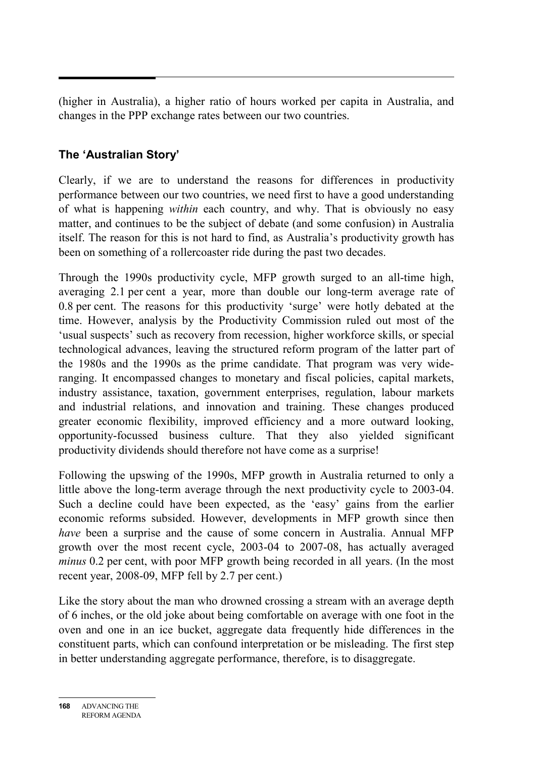(higher in Australia), a higher ratio of hours worked per capita in Australia, and changes in the PPP exchange rates between our two countries.

# **The 'Australian Story'**

Clearly, if we are to understand the reasons for differences in productivity performance between our two countries, we need first to have a good understanding of what is happening *within* each country, and why. That is obviously no easy matter, and continues to be the subject of debate (and some confusion) in Australia itself. The reason for this is not hard to find, as Australia's productivity growth has been on something of a rollercoaster ride during the past two decades.

Through the 1990s productivity cycle, MFP growth surged to an all-time high, averaging 2.1 per cent a year, more than double our long-term average rate of 0.8 per cent. The reasons for this productivity 'surge' were hotly debated at the time. However, analysis by the Productivity Commission ruled out most of the 'usual suspects' such as recovery from recession, higher workforce skills, or special technological advances, leaving the structured reform program of the latter part of the 1980s and the 1990s as the prime candidate. That program was very wideranging. It encompassed changes to monetary and fiscal policies, capital markets, industry assistance, taxation, government enterprises, regulation, labour markets and industrial relations, and innovation and training. These changes produced greater economic flexibility, improved efficiency and a more outward looking, opportunity-focussed business culture. That they also yielded significant productivity dividends should therefore not have come as a surprise!

Following the upswing of the 1990s, MFP growth in Australia returned to only a little above the long-term average through the next productivity cycle to 2003-04. Such a decline could have been expected, as the 'easy' gains from the earlier economic reforms subsided. However, developments in MFP growth since then *have* been a surprise and the cause of some concern in Australia. Annual MFP growth over the most recent cycle, 2003-04 to 2007-08, has actually averaged *minus* 0.2 per cent, with poor MFP growth being recorded in all years. (In the most recent year, 2008-09, MFP fell by 2.7 per cent.)

Like the story about the man who drowned crossing a stream with an average depth of 6 inches, or the old joke about being comfortable on average with one foot in the oven and one in an ice bucket, aggregate data frequently hide differences in the constituent parts, which can confound interpretation or be misleading. The first step in better understanding aggregate performance, therefore, is to disaggregate.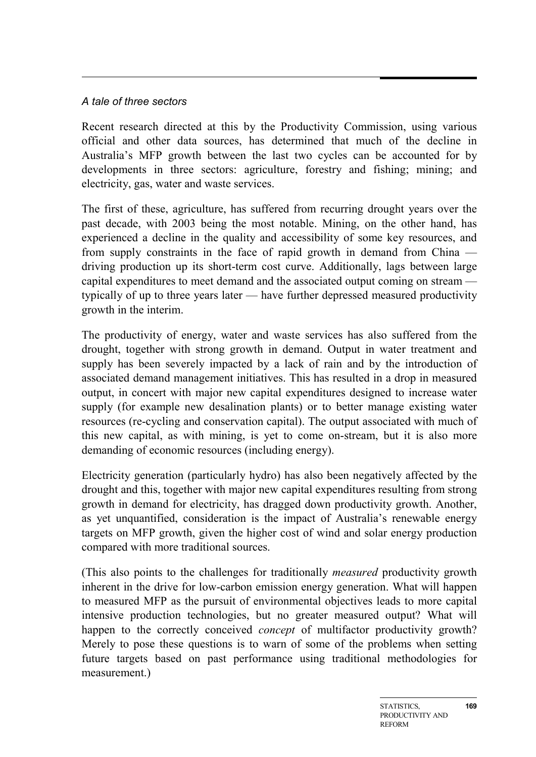#### *A tale of three sectors*

Recent research directed at this by the Productivity Commission, using various official and other data sources, has determined that much of the decline in Australia's MFP growth between the last two cycles can be accounted for by developments in three sectors: agriculture, forestry and fishing; mining; and electricity, gas, water and waste services.

The first of these, agriculture, has suffered from recurring drought years over the past decade, with 2003 being the most notable. Mining, on the other hand, has experienced a decline in the quality and accessibility of some key resources, and from supply constraints in the face of rapid growth in demand from China driving production up its short-term cost curve. Additionally, lags between large capital expenditures to meet demand and the associated output coming on stream typically of up to three years later — have further depressed measured productivity growth in the interim.

The productivity of energy, water and waste services has also suffered from the drought, together with strong growth in demand. Output in water treatment and supply has been severely impacted by a lack of rain and by the introduction of associated demand management initiatives. This has resulted in a drop in measured output, in concert with major new capital expenditures designed to increase water supply (for example new desalination plants) or to better manage existing water resources (re-cycling and conservation capital). The output associated with much of this new capital, as with mining, is yet to come on-stream, but it is also more demanding of economic resources (including energy).

Electricity generation (particularly hydro) has also been negatively affected by the drought and this, together with major new capital expenditures resulting from strong growth in demand for electricity, has dragged down productivity growth. Another, as yet unquantified, consideration is the impact of Australia's renewable energy targets on MFP growth, given the higher cost of wind and solar energy production compared with more traditional sources.

(This also points to the challenges for traditionally *measured* productivity growth inherent in the drive for low-carbon emission energy generation. What will happen to measured MFP as the pursuit of environmental objectives leads to more capital intensive production technologies, but no greater measured output? What will happen to the correctly conceived *concept* of multifactor productivity growth? Merely to pose these questions is to warn of some of the problems when setting future targets based on past performance using traditional methodologies for measurement.)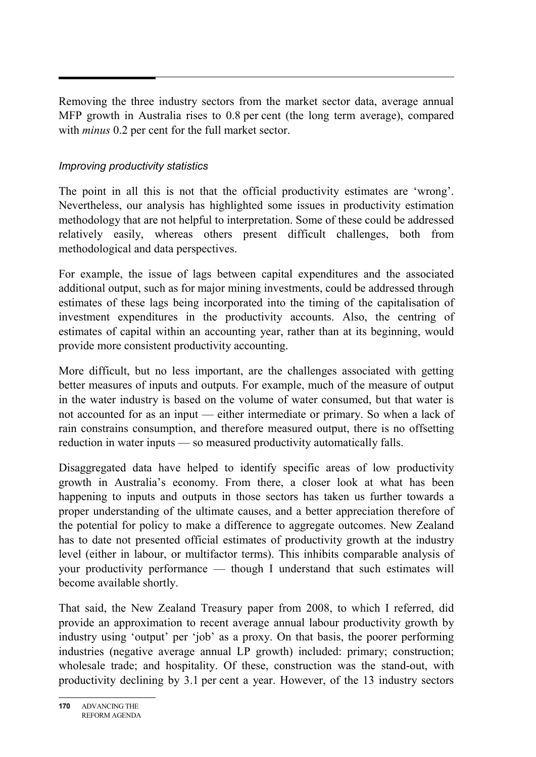Removing the three industry sectors from the market sector data, average annual MFP growth in Australia rises to 0.8 per cent (the long term average), compared with *minus* 0.2 per cent for the full market sector.

#### *Improving productivity statistics*

The point in all this is not that the official productivity estimates are 'wrong'. Nevertheless, our analysis has highlighted some issues in productivity estimation methodology that are not helpful to interpretation. Some of these could be addressed relatively easily, whereas others present difficult challenges, both from methodological and data perspectives.

For example, the issue of lags between capital expenditures and the associated additional output, such as for major mining investments, could be addressed through estimates of these lags being incorporated into the timing of the capitalisation of investment expenditures in the productivity accounts. Also, the centring of estimates of capital within an accounting year, rather than at its beginning, would provide more consistent productivity accounting.

More difficult, but no less important, are the challenges associated with getting better measures of inputs and outputs. For example, much of the measure of output in the water industry is based on the volume of water consumed, but that water is not accounted for as an input — either intermediate or primary. So when a lack of rain constrains consumption, and therefore measured output, there is no offsetting reduction in water inputs — so measured productivity automatically falls.

Disaggregated data have helped to identify specific areas of low productivity growth in Australia's economy. From there, a closer look at what has been happening to inputs and outputs in those sectors has taken us further towards a proper understanding of the ultimate causes, and a better appreciation therefore of the potential for policy to make a difference to aggregate outcomes. New Zealand has to date not presented official estimates of productivity growth at the industry level (either in labour, or multifactor terms). This inhibits comparable analysis of your productivity performance — though I understand that such estimates will become available shortly.

That said, the New Zealand Treasury paper from 2008, to which I referred, did provide an approximation to recent average annual labour productivity growth by industry using 'output' per 'job' as a proxy. On that basis, the poorer performing industries (negative average annual LP growth) included: primary; construction; wholesale trade; and hospitality. Of these, construction was the stand-out, with productivity declining by 3.1 per cent a year. However, of the 13 industry sectors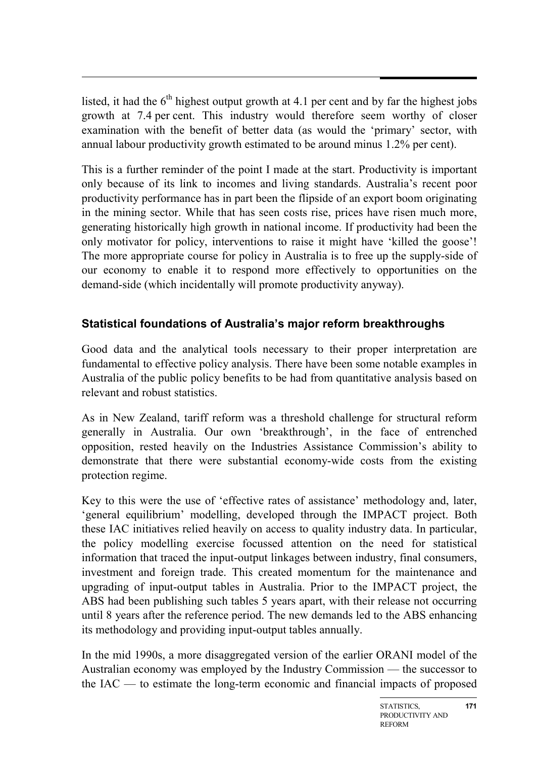listed, it had the  $6<sup>th</sup>$  highest output growth at 4.1 per cent and by far the highest jobs growth at 7.4 per cent. This industry would therefore seem worthy of closer examination with the benefit of better data (as would the 'primary' sector, with annual labour productivity growth estimated to be around minus 1.2% per cent).

This is a further reminder of the point I made at the start. Productivity is important only because of its link to incomes and living standards. Australia's recent poor productivity performance has in part been the flipside of an export boom originating in the mining sector. While that has seen costs rise, prices have risen much more, generating historically high growth in national income. If productivity had been the only motivator for policy, interventions to raise it might have 'killed the goose'! The more appropriate course for policy in Australia is to free up the supply-side of our economy to enable it to respond more effectively to opportunities on the demand-side (which incidentally will promote productivity anyway).

# **Statistical foundations of Australia's major reform breakthroughs**

Good data and the analytical tools necessary to their proper interpretation are fundamental to effective policy analysis. There have been some notable examples in Australia of the public policy benefits to be had from quantitative analysis based on relevant and robust statistics.

As in New Zealand, tariff reform was a threshold challenge for structural reform generally in Australia. Our own 'breakthrough', in the face of entrenched opposition, rested heavily on the Industries Assistance Commission's ability to demonstrate that there were substantial economy-wide costs from the existing protection regime.

Key to this were the use of 'effective rates of assistance' methodology and, later, 'general equilibrium' modelling, developed through the IMPACT project. Both these IAC initiatives relied heavily on access to quality industry data. In particular, the policy modelling exercise focussed attention on the need for statistical information that traced the input-output linkages between industry, final consumers, investment and foreign trade. This created momentum for the maintenance and upgrading of input-output tables in Australia. Prior to the IMPACT project, the ABS had been publishing such tables 5 years apart, with their release not occurring until 8 years after the reference period. The new demands led to the ABS enhancing its methodology and providing input-output tables annually.

In the mid 1990s, a more disaggregated version of the earlier ORANI model of the Australian economy was employed by the Industry Commission — the successor to the IAC — to estimate the long-term economic and financial impacts of proposed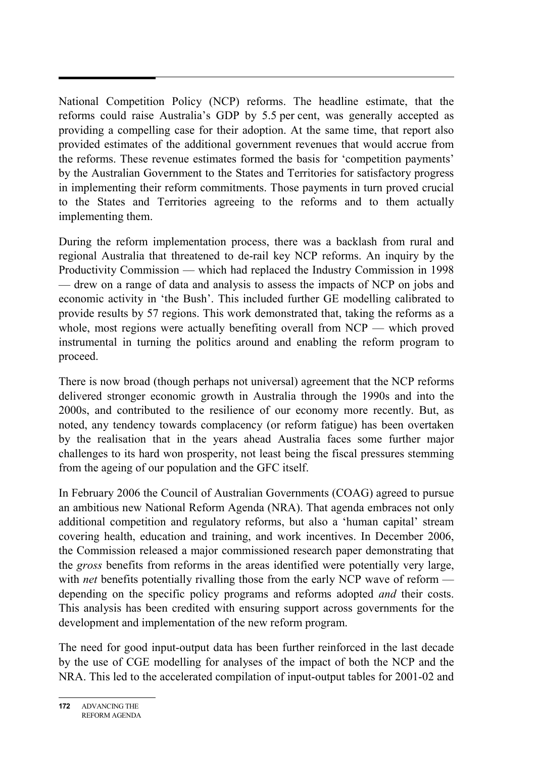National Competition Policy (NCP) reforms. The headline estimate, that the reforms could raise Australia's GDP by 5.5 per cent, was generally accepted as providing a compelling case for their adoption. At the same time, that report also provided estimates of the additional government revenues that would accrue from the reforms. These revenue estimates formed the basis for 'competition payments' by the Australian Government to the States and Territories for satisfactory progress in implementing their reform commitments. Those payments in turn proved crucial to the States and Territories agreeing to the reforms and to them actually implementing them.

During the reform implementation process, there was a backlash from rural and regional Australia that threatened to de-rail key NCP reforms. An inquiry by the Productivity Commission — which had replaced the Industry Commission in 1998 — drew on a range of data and analysis to assess the impacts of NCP on jobs and economic activity in 'the Bush'. This included further GE modelling calibrated to provide results by 57 regions. This work demonstrated that, taking the reforms as a whole, most regions were actually benefiting overall from NCP — which proved instrumental in turning the politics around and enabling the reform program to proceed.

There is now broad (though perhaps not universal) agreement that the NCP reforms delivered stronger economic growth in Australia through the 1990s and into the 2000s, and contributed to the resilience of our economy more recently. But, as noted, any tendency towards complacency (or reform fatigue) has been overtaken by the realisation that in the years ahead Australia faces some further major challenges to its hard won prosperity, not least being the fiscal pressures stemming from the ageing of our population and the GFC itself.

In February 2006 the Council of Australian Governments (COAG) agreed to pursue an ambitious new National Reform Agenda (NRA). That agenda embraces not only additional competition and regulatory reforms, but also a 'human capital' stream covering health, education and training, and work incentives. In December 2006, the Commission released a major commissioned research paper demonstrating that the *gross* benefits from reforms in the areas identified were potentially very large, with *net* benefits potentially rivalling those from the early NCP wave of reform depending on the specific policy programs and reforms adopted *and* their costs. This analysis has been credited with ensuring support across governments for the development and implementation of the new reform program.

The need for good input-output data has been further reinforced in the last decade by the use of CGE modelling for analyses of the impact of both the NCP and the NRA. This led to the accelerated compilation of input-output tables for 2001-02 and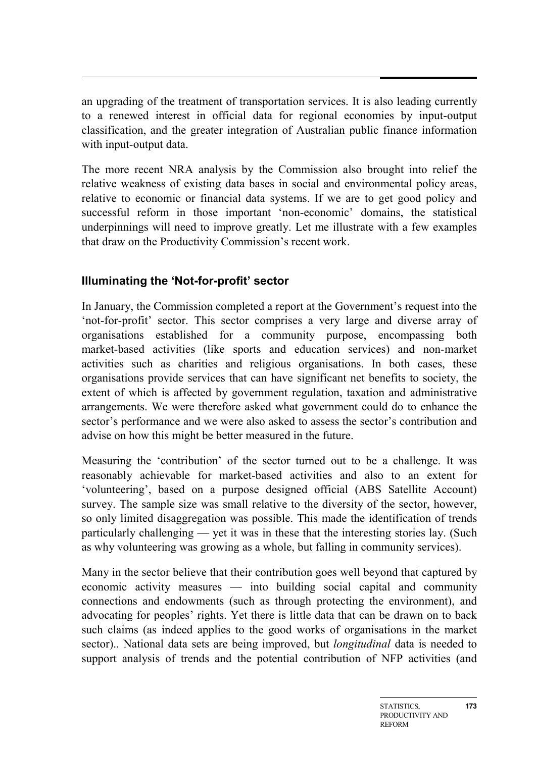an upgrading of the treatment of transportation services. It is also leading currently to a renewed interest in official data for regional economies by input-output classification, and the greater integration of Australian public finance information with input-output data.

The more recent NRA analysis by the Commission also brought into relief the relative weakness of existing data bases in social and environmental policy areas, relative to economic or financial data systems. If we are to get good policy and successful reform in those important 'non-economic' domains, the statistical underpinnings will need to improve greatly. Let me illustrate with a few examples that draw on the Productivity Commission's recent work.

# **Illuminating the 'Not-for-profit' sector**

In January, the Commission completed a report at the Government's request into the 'not-for-profit' sector. This sector comprises a very large and diverse array of organisations established for a community purpose, encompassing both market-based activities (like sports and education services) and non-market activities such as charities and religious organisations. In both cases, these organisations provide services that can have significant net benefits to society, the extent of which is affected by government regulation, taxation and administrative arrangements. We were therefore asked what government could do to enhance the sector's performance and we were also asked to assess the sector's contribution and advise on how this might be better measured in the future.

Measuring the 'contribution' of the sector turned out to be a challenge. It was reasonably achievable for market-based activities and also to an extent for 'volunteering', based on a purpose designed official (ABS Satellite Account) survey. The sample size was small relative to the diversity of the sector, however, so only limited disaggregation was possible. This made the identification of trends particularly challenging — yet it was in these that the interesting stories lay. (Such as why volunteering was growing as a whole, but falling in community services).

Many in the sector believe that their contribution goes well beyond that captured by economic activity measures — into building social capital and community connections and endowments (such as through protecting the environment), and advocating for peoples' rights. Yet there is little data that can be drawn on to back such claims (as indeed applies to the good works of organisations in the market sector).. National data sets are being improved, but *longitudinal* data is needed to support analysis of trends and the potential contribution of NFP activities (and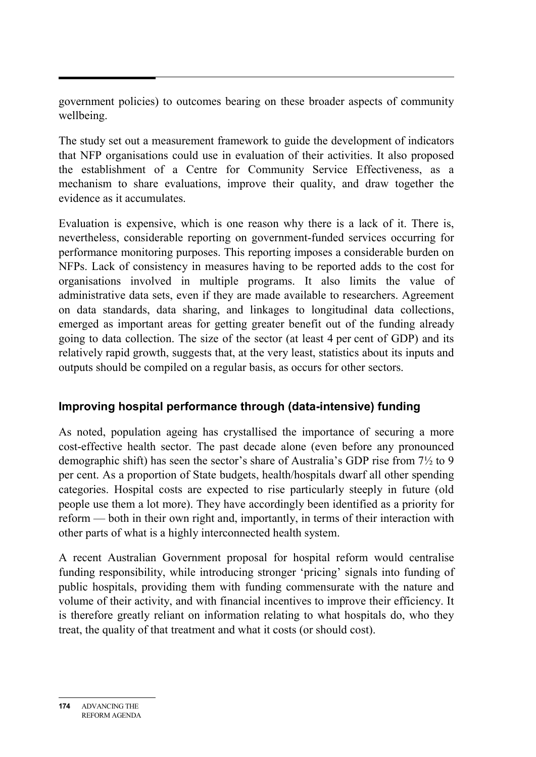government policies) to outcomes bearing on these broader aspects of community wellbeing.

The study set out a measurement framework to guide the development of indicators that NFP organisations could use in evaluation of their activities. It also proposed the establishment of a Centre for Community Service Effectiveness, as a mechanism to share evaluations, improve their quality, and draw together the evidence as it accumulates.

Evaluation is expensive, which is one reason why there is a lack of it. There is, nevertheless, considerable reporting on government-funded services occurring for performance monitoring purposes. This reporting imposes a considerable burden on NFPs. Lack of consistency in measures having to be reported adds to the cost for organisations involved in multiple programs. It also limits the value of administrative data sets, even if they are made available to researchers. Agreement on data standards, data sharing, and linkages to longitudinal data collections, emerged as important areas for getting greater benefit out of the funding already going to data collection. The size of the sector (at least 4 per cent of GDP) and its relatively rapid growth, suggests that, at the very least, statistics about its inputs and outputs should be compiled on a regular basis, as occurs for other sectors.

## **Improving hospital performance through (data-intensive) funding**

As noted, population ageing has crystallised the importance of securing a more cost-effective health sector. The past decade alone (even before any pronounced demographic shift) has seen the sector's share of Australia's GDP rise from 7½ to 9 per cent. As a proportion of State budgets, health/hospitals dwarf all other spending categories. Hospital costs are expected to rise particularly steeply in future (old people use them a lot more). They have accordingly been identified as a priority for reform — both in their own right and, importantly, in terms of their interaction with other parts of what is a highly interconnected health system.

A recent Australian Government proposal for hospital reform would centralise funding responsibility, while introducing stronger 'pricing' signals into funding of public hospitals, providing them with funding commensurate with the nature and volume of their activity, and with financial incentives to improve their efficiency. It is therefore greatly reliant on information relating to what hospitals do, who they treat, the quality of that treatment and what it costs (or should cost).

**<sup>174</sup>** ADVANCING THE REFORM AGENDA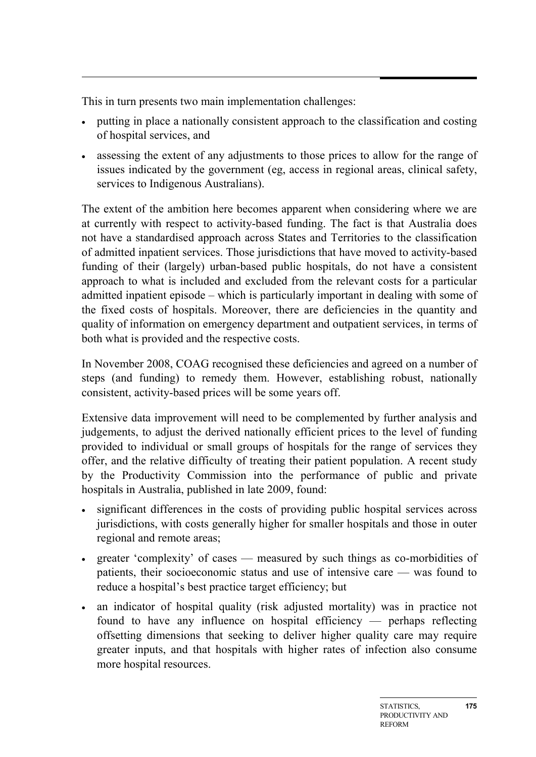This in turn presents two main implementation challenges:

- putting in place a nationally consistent approach to the classification and costing of hospital services, and
- assessing the extent of any adjustments to those prices to allow for the range of issues indicated by the government (eg, access in regional areas, clinical safety, services to Indigenous Australians).

The extent of the ambition here becomes apparent when considering where we are at currently with respect to activity-based funding. The fact is that Australia does not have a standardised approach across States and Territories to the classification of admitted inpatient services. Those jurisdictions that have moved to activity-based funding of their (largely) urban-based public hospitals, do not have a consistent approach to what is included and excluded from the relevant costs for a particular admitted inpatient episode – which is particularly important in dealing with some of the fixed costs of hospitals. Moreover, there are deficiencies in the quantity and quality of information on emergency department and outpatient services, in terms of both what is provided and the respective costs.

In November 2008, COAG recognised these deficiencies and agreed on a number of steps (and funding) to remedy them. However, establishing robust, nationally consistent, activity-based prices will be some years off.

Extensive data improvement will need to be complemented by further analysis and judgements, to adjust the derived nationally efficient prices to the level of funding provided to individual or small groups of hospitals for the range of services they offer, and the relative difficulty of treating their patient population. A recent study by the Productivity Commission into the performance of public and private hospitals in Australia, published in late 2009, found:

- significant differences in the costs of providing public hospital services across jurisdictions, with costs generally higher for smaller hospitals and those in outer regional and remote areas;
- greater 'complexity' of cases measured by such things as co-morbidities of patients, their socioeconomic status and use of intensive care — was found to reduce a hospital's best practice target efficiency; but
- an indicator of hospital quality (risk adjusted mortality) was in practice not found to have any influence on hospital efficiency — perhaps reflecting offsetting dimensions that seeking to deliver higher quality care may require greater inputs, and that hospitals with higher rates of infection also consume more hospital resources.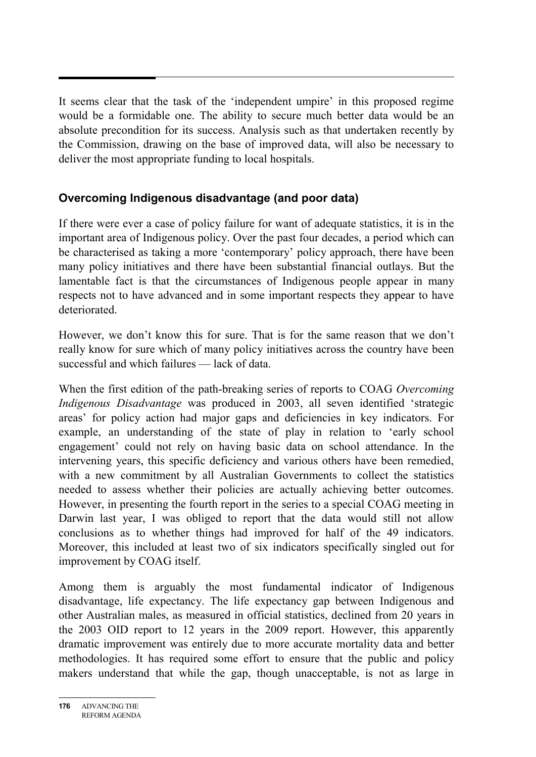It seems clear that the task of the 'independent umpire' in this proposed regime would be a formidable one. The ability to secure much better data would be an absolute precondition for its success. Analysis such as that undertaken recently by the Commission, drawing on the base of improved data, will also be necessary to deliver the most appropriate funding to local hospitals.

## **Overcoming Indigenous disadvantage (and poor data)**

If there were ever a case of policy failure for want of adequate statistics, it is in the important area of Indigenous policy. Over the past four decades, a period which can be characterised as taking a more 'contemporary' policy approach, there have been many policy initiatives and there have been substantial financial outlays. But the lamentable fact is that the circumstances of Indigenous people appear in many respects not to have advanced and in some important respects they appear to have deteriorated.

However, we don't know this for sure. That is for the same reason that we don't really know for sure which of many policy initiatives across the country have been successful and which failures — lack of data.

When the first edition of the path-breaking series of reports to COAG *Overcoming Indigenous Disadvantage* was produced in 2003, all seven identified 'strategic areas' for policy action had major gaps and deficiencies in key indicators. For example, an understanding of the state of play in relation to 'early school engagement' could not rely on having basic data on school attendance. In the intervening years, this specific deficiency and various others have been remedied, with a new commitment by all Australian Governments to collect the statistics needed to assess whether their policies are actually achieving better outcomes. However, in presenting the fourth report in the series to a special COAG meeting in Darwin last year, I was obliged to report that the data would still not allow conclusions as to whether things had improved for half of the 49 indicators. Moreover, this included at least two of six indicators specifically singled out for improvement by COAG itself.

Among them is arguably the most fundamental indicator of Indigenous disadvantage, life expectancy. The life expectancy gap between Indigenous and other Australian males, as measured in official statistics, declined from 20 years in the 2003 OID report to 12 years in the 2009 report. However, this apparently dramatic improvement was entirely due to more accurate mortality data and better methodologies. It has required some effort to ensure that the public and policy makers understand that while the gap, though unacceptable, is not as large in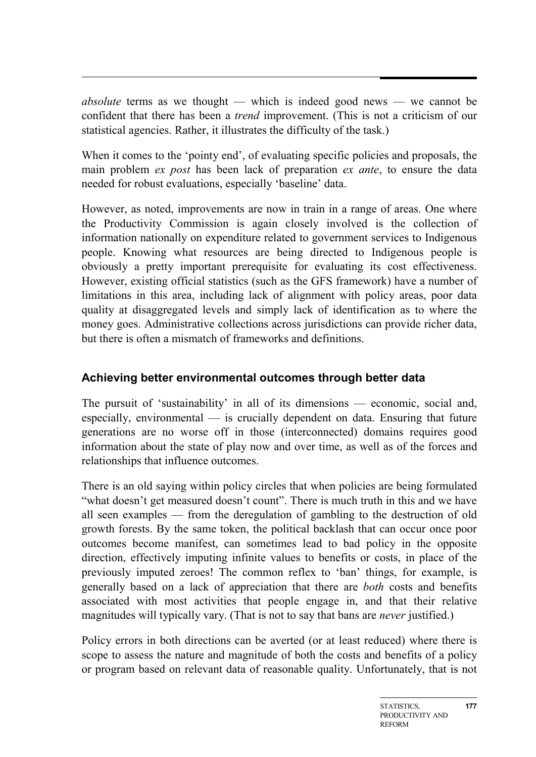*absolute* terms as we thought — which is indeed good news — we cannot be confident that there has been a *trend* improvement. (This is not a criticism of our statistical agencies. Rather, it illustrates the difficulty of the task.)

When it comes to the 'pointy end', of evaluating specific policies and proposals, the main problem *ex post* has been lack of preparation *ex ante*, to ensure the data needed for robust evaluations, especially 'baseline' data.

However, as noted, improvements are now in train in a range of areas. One where the Productivity Commission is again closely involved is the collection of information nationally on expenditure related to government services to Indigenous people. Knowing what resources are being directed to Indigenous people is obviously a pretty important prerequisite for evaluating its cost effectiveness. However, existing official statistics (such as the GFS framework) have a number of limitations in this area, including lack of alignment with policy areas, poor data quality at disaggregated levels and simply lack of identification as to where the money goes. Administrative collections across jurisdictions can provide richer data, but there is often a mismatch of frameworks and definitions.

## **Achieving better environmental outcomes through better data**

The pursuit of 'sustainability' in all of its dimensions — economic, social and, especially, environmental — is crucially dependent on data. Ensuring that future generations are no worse off in those (interconnected) domains requires good information about the state of play now and over time, as well as of the forces and relationships that influence outcomes.

There is an old saying within policy circles that when policies are being formulated "what doesn't get measured doesn't count". There is much truth in this and we have all seen examples — from the deregulation of gambling to the destruction of old growth forests. By the same token, the political backlash that can occur once poor outcomes become manifest, can sometimes lead to bad policy in the opposite direction, effectively imputing infinite values to benefits or costs, in place of the previously imputed zeroes! The common reflex to 'ban' things, for example, is generally based on a lack of appreciation that there are *both* costs and benefits associated with most activities that people engage in, and that their relative magnitudes will typically vary. (That is not to say that bans are *never* justified.)

Policy errors in both directions can be averted (or at least reduced) where there is scope to assess the nature and magnitude of both the costs and benefits of a policy or program based on relevant data of reasonable quality. Unfortunately, that is not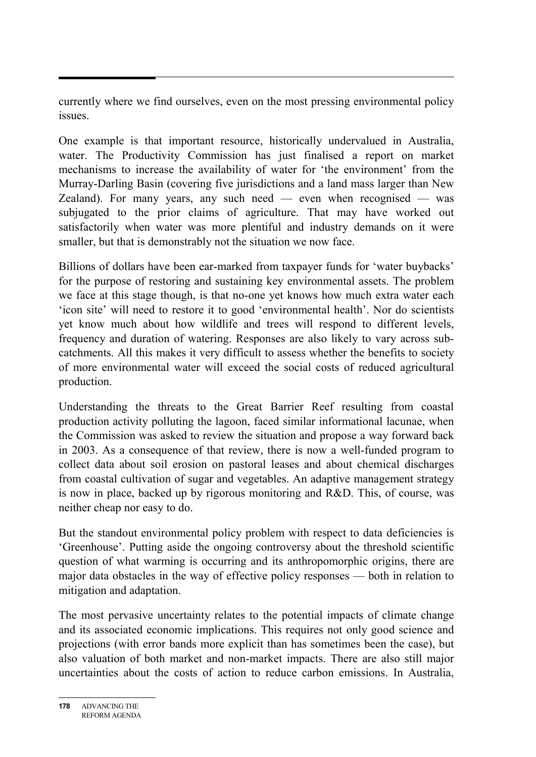currently where we find ourselves, even on the most pressing environmental policy issues.

One example is that important resource, historically undervalued in Australia, water. The Productivity Commission has just finalised a report on market mechanisms to increase the availability of water for 'the environment' from the Murray-Darling Basin (covering five jurisdictions and a land mass larger than New Zealand). For many years, any such need — even when recognised — was subjugated to the prior claims of agriculture. That may have worked out satisfactorily when water was more plentiful and industry demands on it were smaller, but that is demonstrably not the situation we now face.

Billions of dollars have been ear-marked from taxpayer funds for 'water buybacks' for the purpose of restoring and sustaining key environmental assets. The problem we face at this stage though, is that no-one yet knows how much extra water each 'icon site' will need to restore it to good 'environmental health'. Nor do scientists yet know much about how wildlife and trees will respond to different levels, frequency and duration of watering. Responses are also likely to vary across subcatchments. All this makes it very difficult to assess whether the benefits to society of more environmental water will exceed the social costs of reduced agricultural production.

Understanding the threats to the Great Barrier Reef resulting from coastal production activity polluting the lagoon, faced similar informational lacunae, when the Commission was asked to review the situation and propose a way forward back in 2003. As a consequence of that review, there is now a well-funded program to collect data about soil erosion on pastoral leases and about chemical discharges from coastal cultivation of sugar and vegetables. An adaptive management strategy is now in place, backed up by rigorous monitoring and R&D. This, of course, was neither cheap nor easy to do.

But the standout environmental policy problem with respect to data deficiencies is 'Greenhouse'. Putting aside the ongoing controversy about the threshold scientific question of what warming is occurring and its anthropomorphic origins, there are major data obstacles in the way of effective policy responses — both in relation to mitigation and adaptation.

The most pervasive uncertainty relates to the potential impacts of climate change and its associated economic implications. This requires not only good science and projections (with error bands more explicit than has sometimes been the case), but also valuation of both market and non-market impacts. There are also still major uncertainties about the costs of action to reduce carbon emissions. In Australia,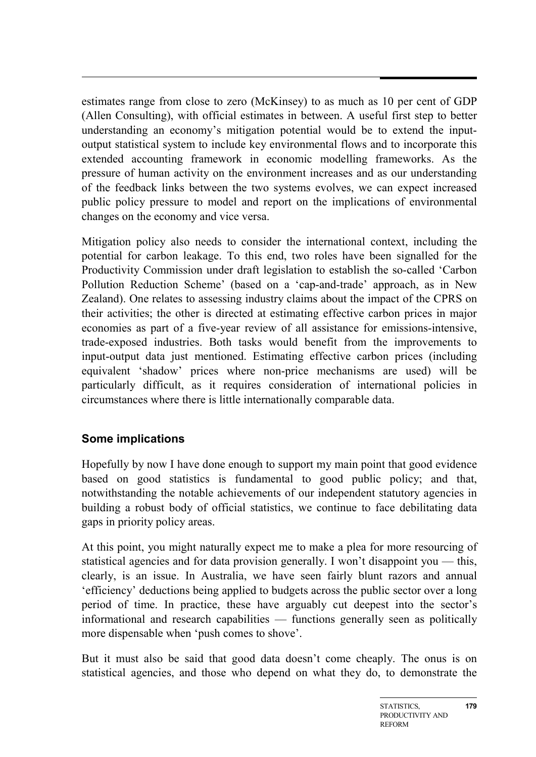estimates range from close to zero (McKinsey) to as much as 10 per cent of GDP (Allen Consulting), with official estimates in between. A useful first step to better understanding an economy's mitigation potential would be to extend the inputoutput statistical system to include key environmental flows and to incorporate this extended accounting framework in economic modelling frameworks. As the pressure of human activity on the environment increases and as our understanding of the feedback links between the two systems evolves, we can expect increased public policy pressure to model and report on the implications of environmental changes on the economy and vice versa.

Mitigation policy also needs to consider the international context, including the potential for carbon leakage. To this end, two roles have been signalled for the Productivity Commission under draft legislation to establish the so-called 'Carbon Pollution Reduction Scheme' (based on a 'cap-and-trade' approach, as in New Zealand). One relates to assessing industry claims about the impact of the CPRS on their activities; the other is directed at estimating effective carbon prices in major economies as part of a five-year review of all assistance for emissions-intensive, trade-exposed industries. Both tasks would benefit from the improvements to input-output data just mentioned. Estimating effective carbon prices (including equivalent 'shadow' prices where non-price mechanisms are used) will be particularly difficult, as it requires consideration of international policies in circumstances where there is little internationally comparable data.

## **Some implications**

Hopefully by now I have done enough to support my main point that good evidence based on good statistics is fundamental to good public policy; and that, notwithstanding the notable achievements of our independent statutory agencies in building a robust body of official statistics, we continue to face debilitating data gaps in priority policy areas.

At this point, you might naturally expect me to make a plea for more resourcing of statistical agencies and for data provision generally. I won't disappoint you — this, clearly, is an issue. In Australia, we have seen fairly blunt razors and annual 'efficiency' deductions being applied to budgets across the public sector over a long period of time. In practice, these have arguably cut deepest into the sector's informational and research capabilities — functions generally seen as politically more dispensable when 'push comes to shove'.

But it must also be said that good data doesn't come cheaply. The onus is on statistical agencies, and those who depend on what they do, to demonstrate the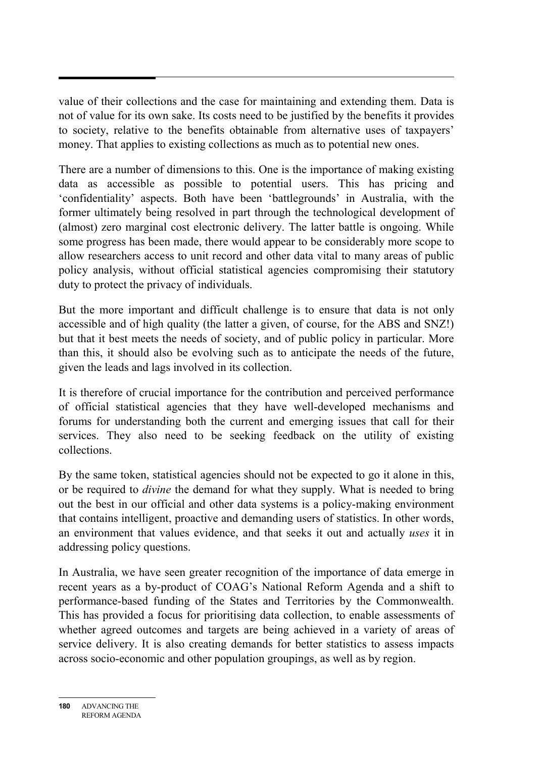value of their collections and the case for maintaining and extending them. Data is not of value for its own sake. Its costs need to be justified by the benefits it provides to society, relative to the benefits obtainable from alternative uses of taxpayers' money. That applies to existing collections as much as to potential new ones.

There are a number of dimensions to this. One is the importance of making existing data as accessible as possible to potential users. This has pricing and 'confidentiality' aspects. Both have been 'battlegrounds' in Australia, with the former ultimately being resolved in part through the technological development of (almost) zero marginal cost electronic delivery. The latter battle is ongoing. While some progress has been made, there would appear to be considerably more scope to allow researchers access to unit record and other data vital to many areas of public policy analysis, without official statistical agencies compromising their statutory duty to protect the privacy of individuals.

But the more important and difficult challenge is to ensure that data is not only accessible and of high quality (the latter a given, of course, for the ABS and SNZ!) but that it best meets the needs of society, and of public policy in particular. More than this, it should also be evolving such as to anticipate the needs of the future, given the leads and lags involved in its collection.

It is therefore of crucial importance for the contribution and perceived performance of official statistical agencies that they have well-developed mechanisms and forums for understanding both the current and emerging issues that call for their services. They also need to be seeking feedback on the utility of existing collections.

By the same token, statistical agencies should not be expected to go it alone in this, or be required to *divine* the demand for what they supply. What is needed to bring out the best in our official and other data systems is a policy-making environment that contains intelligent, proactive and demanding users of statistics. In other words, an environment that values evidence, and that seeks it out and actually *uses* it in addressing policy questions.

In Australia, we have seen greater recognition of the importance of data emerge in recent years as a by-product of COAG's National Reform Agenda and a shift to performance-based funding of the States and Territories by the Commonwealth. This has provided a focus for prioritising data collection, to enable assessments of whether agreed outcomes and targets are being achieved in a variety of areas of service delivery. It is also creating demands for better statistics to assess impacts across socio-economic and other population groupings, as well as by region.